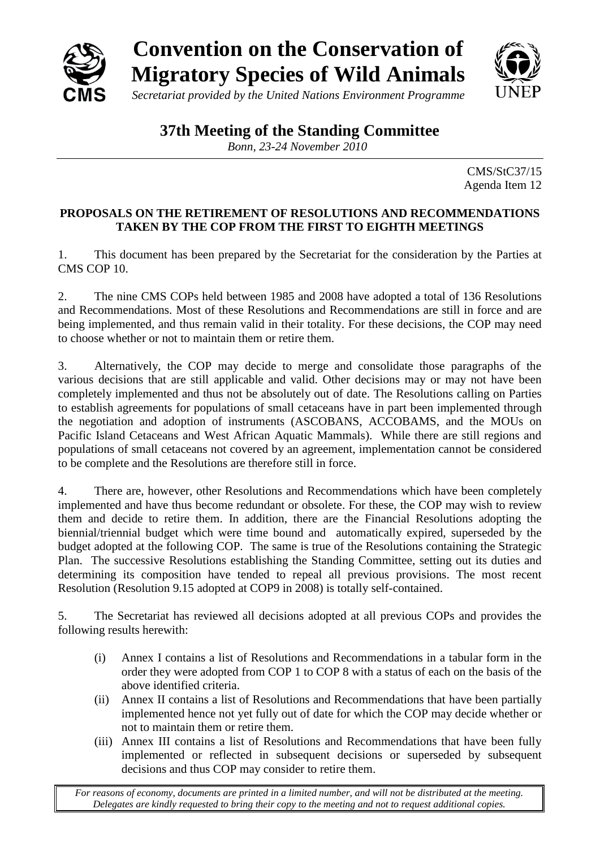

# **Convention on the Conservation of Migratory Species of Wild Animals**



*Secretariat provided by the United Nations Environment Programme*

**37th Meeting of the Standing Committee**

*Bonn, 23-24 November 2010*

CMS/StC37/15 Agenda Item 12

#### **PROPOSALS ON THE RETIREMENT OF RESOLUTIONS AND RECOMMENDATIONS TAKEN BY THE COP FROM THE FIRST TO EIGHTH MEETINGS**

1. This document has been prepared by the Secretariat for the consideration by the Parties at CMS COP 10.

2. The nine CMS COPs held between 1985 and 2008 have adopted a total of 136 Resolutions and Recommendations. Most of these Resolutions and Recommendations are still in force and are being implemented, and thus remain valid in their totality. For these decisions, the COP may need to choose whether or not to maintain them or retire them.

3. Alternatively, the COP may decide to merge and consolidate those paragraphs of the various decisions that are still applicable and valid. Other decisions may or may not have been completely implemented and thus not be absolutely out of date. The Resolutions calling on Parties to establish agreements for populations of small cetaceans have in part been implemented through the negotiation and adoption of instruments (ASCOBANS, ACCOBAMS, and the MOUs on Pacific Island Cetaceans and West African Aquatic Mammals). While there are still regions and populations of small cetaceans not covered by an agreement, implementation cannot be considered to be complete and the Resolutions are therefore still in force.

4. There are, however, other Resolutions and Recommendations which have been completely implemented and have thus become redundant or obsolete. For these, the COP may wish to review them and decide to retire them. In addition, there are the Financial Resolutions adopting the biennial/triennial budget which were time bound and automatically expired, superseded by the budget adopted at the following COP. The same is true of the Resolutions containing the Strategic Plan. The successive Resolutions establishing the Standing Committee, setting out its duties and determining its composition have tended to repeal all previous provisions. The most recent Resolution (Resolution 9.15 adopted at COP9 in 2008) is totally self-contained.

5. The Secretariat has reviewed all decisions adopted at all previous COPs and provides the following results herewith:

- (i) Annex I contains a list of Resolutions and Recommendations in a tabular form in the order they were adopted from COP 1 to COP 8 with a status of each on the basis of the above identified criteria.
- (ii) Annex II contains a list of Resolutions and Recommendations that have been partially implemented hence not yet fully out of date for which the COP may decide whether or not to maintain them or retire them.
- (iii) Annex III contains a list of Resolutions and Recommendations that have been fully implemented or reflected in subsequent decisions or superseded by subsequent decisions and thus COP may consider to retire them.

*For reasons of economy, documents are printed in a limited number, and will not be distributed at the meeting. Delegates are kindly requested to bring their copy to the meeting and not to request additional copies.*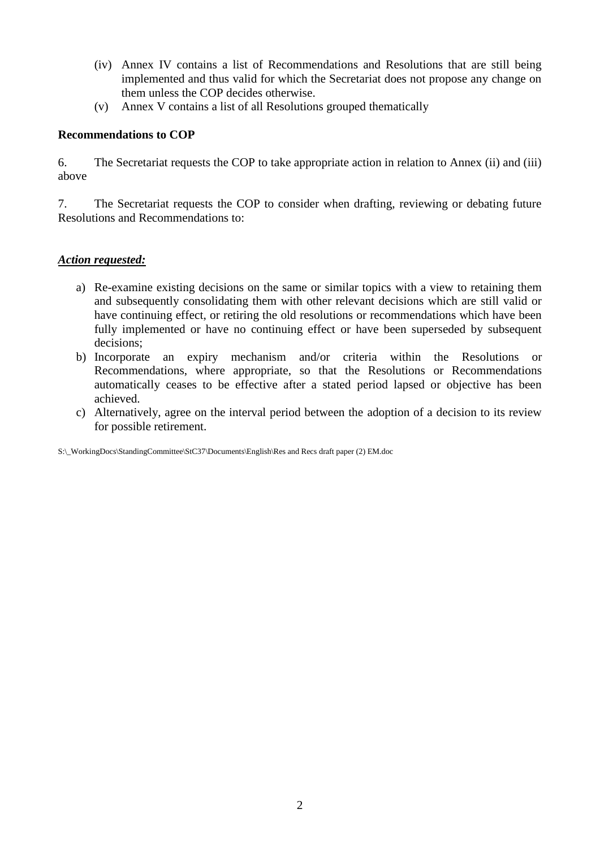- (iv) Annex IV contains a list of Recommendations and Resolutions that are still being implemented and thus valid for which the Secretariat does not propose any change on them unless the COP decides otherwise.
- (v) Annex V contains a list of all Resolutions grouped thematically

#### **Recommendations to COP**

6. The Secretariat requests the COP to take appropriate action in relation to Annex (ii) and (iii) above

7. The Secretariat requests the COP to consider when drafting, reviewing or debating future Resolutions and Recommendations to:

#### *Action requested:*

- a) Re-examine existing decisions on the same or similar topics with a view to retaining them and subsequently consolidating them with other relevant decisions which are still valid or have continuing effect, or retiring the old resolutions or recommendations which have been fully implemented or have no continuing effect or have been superseded by subsequent decisions;
- b) Incorporate an expiry mechanism and/or criteria within the Resolutions or Recommendations, where appropriate, so that the Resolutions or Recommendations automatically ceases to be effective after a stated period lapsed or objective has been achieved.
- c) Alternatively, agree on the interval period between the adoption of a decision to its review for possible retirement.

S:\\_WorkingDocs\StandingCommittee\StC37\Documents\English\Res and Recs draft paper (2) EM.doc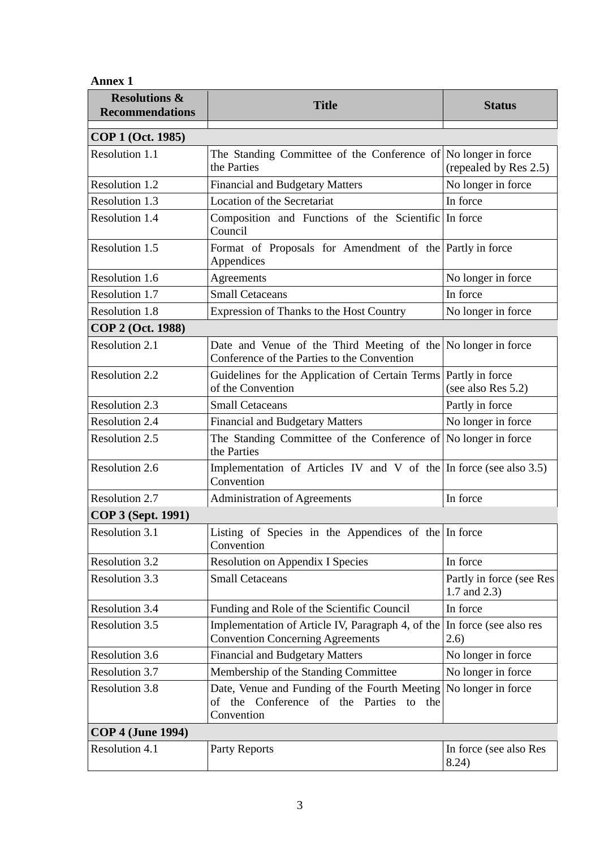#### **Annex 1**

| <b>Resolutions &amp;</b><br><b>Recommendations</b> | <b>Title</b>                                                                                                 | <b>Status</b>                            |
|----------------------------------------------------|--------------------------------------------------------------------------------------------------------------|------------------------------------------|
| COP 1 (Oct. 1985)                                  |                                                                                                              |                                          |
| Resolution 1.1                                     | The Standing Committee of the Conference of No longer in force<br>the Parties                                | (repealed by Res 2.5)                    |
| Resolution 1.2                                     | <b>Financial and Budgetary Matters</b>                                                                       | No longer in force                       |
| Resolution 1.3                                     | Location of the Secretariat                                                                                  | In force                                 |
| Resolution 1.4                                     | Composition and Functions of the Scientific In force<br>Council                                              |                                          |
| Resolution 1.5                                     | Format of Proposals for Amendment of the Partly in force<br>Appendices                                       |                                          |
| Resolution 1.6                                     | Agreements                                                                                                   | No longer in force                       |
| Resolution 1.7                                     | <b>Small Cetaceans</b>                                                                                       | In force                                 |
| Resolution 1.8                                     | Expression of Thanks to the Host Country                                                                     | No longer in force                       |
| COP 2 (Oct. 1988)                                  |                                                                                                              |                                          |
| Resolution 2.1                                     | Date and Venue of the Third Meeting of the No longer in force<br>Conference of the Parties to the Convention |                                          |
| <b>Resolution 2.2</b>                              | Guidelines for the Application of Certain Terms<br>of the Convention                                         | Partly in force<br>(see also Res 5.2)    |
| <b>Resolution 2.3</b>                              | <b>Small Cetaceans</b>                                                                                       | Partly in force                          |
| <b>Resolution 2.4</b>                              | <b>Financial and Budgetary Matters</b>                                                                       | No longer in force                       |
| Resolution 2.5                                     | The Standing Committee of the Conference of No longer in force<br>the Parties                                |                                          |
| Resolution 2.6                                     | Implementation of Articles IV and V of the In force (see also 3.5)<br>Convention                             |                                          |
| <b>Resolution 2.7</b>                              | <b>Administration of Agreements</b>                                                                          | In force                                 |
| COP 3 (Sept. 1991)                                 |                                                                                                              |                                          |
| Resolution 3.1                                     | Listing of Species in the Appendices of the Inforce<br>Convention                                            |                                          |
| <b>Resolution 3.2</b>                              | <b>Resolution on Appendix I Species</b>                                                                      | In force                                 |
| <b>Resolution 3.3</b>                              | <b>Small Cetaceans</b>                                                                                       | Partly in force (see Res<br>1.7 and 2.3) |
| <b>Resolution 3.4</b>                              | Funding and Role of the Scientific Council                                                                   | In force                                 |
| <b>Resolution 3.5</b>                              | Implementation of Article IV, Paragraph 4, of the<br><b>Convention Concerning Agreements</b>                 | In force (see also res<br>(2.6)          |
| Resolution 3.6                                     | <b>Financial and Budgetary Matters</b>                                                                       | No longer in force                       |
| Resolution 3.7                                     | Membership of the Standing Committee                                                                         | No longer in force                       |
| <b>Resolution 3.8</b>                              | Date, Venue and Funding of the Fourth Meeting<br>of the Conference of the Parties<br>the<br>to<br>Convention | No longer in force                       |
| <b>COP 4 (June 1994)</b>                           |                                                                                                              |                                          |
| Resolution 4.1                                     | Party Reports                                                                                                | In force (see also Res<br>8.24)          |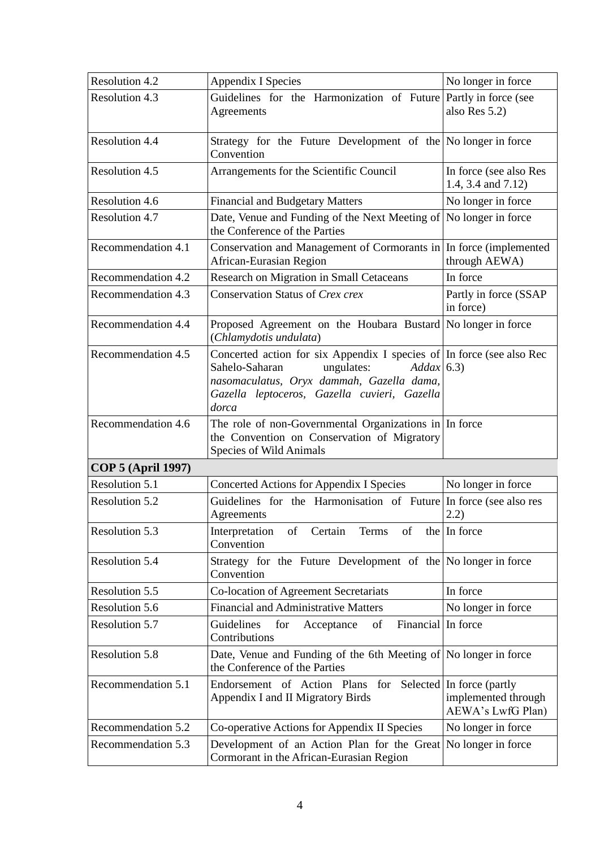| <b>Resolution 4.2</b>     | <b>Appendix I Species</b>                                                                                                                                                                                                 | No longer in force                           |
|---------------------------|---------------------------------------------------------------------------------------------------------------------------------------------------------------------------------------------------------------------------|----------------------------------------------|
| Resolution 4.3            | Guidelines for the Harmonization of Future Partly in force (see<br>Agreements                                                                                                                                             | also Res 5.2)                                |
| <b>Resolution 4.4</b>     | Strategy for the Future Development of the No longer in force<br>Convention                                                                                                                                               |                                              |
| <b>Resolution 4.5</b>     | Arrangements for the Scientific Council                                                                                                                                                                                   | In force (see also Res<br>1.4, 3.4 and 7.12) |
| Resolution 4.6            | <b>Financial and Budgetary Matters</b>                                                                                                                                                                                    | No longer in force                           |
| Resolution 4.7            | Date, Venue and Funding of the Next Meeting of<br>the Conference of the Parties                                                                                                                                           | No longer in force                           |
| Recommendation 4.1        | Conservation and Management of Cormorants in In force (implemented<br>African-Eurasian Region                                                                                                                             | through AEWA)                                |
| Recommendation 4.2        | Research on Migration in Small Cetaceans                                                                                                                                                                                  | In force                                     |
| Recommendation 4.3        | Conservation Status of Crex crex                                                                                                                                                                                          | Partly in force (SSAP<br>in force)           |
| Recommendation 4.4        | Proposed Agreement on the Houbara Bustard No longer in force<br>(Chlamydotis undulata)                                                                                                                                    |                                              |
| Recommendation 4.5        | Concerted action for six Appendix I species of In force (see also Rec<br>Sahelo-Saharan<br>ungulates:<br>Addax(6.3)<br>nasomaculatus, Oryx dammah, Gazella dama,<br>Gazella leptoceros, Gazella cuvieri, Gazella<br>dorca |                                              |
| Recommendation 4.6        | The role of non-Governmental Organizations in In force<br>the Convention on Conservation of Migratory<br>Species of Wild Animals                                                                                          |                                              |
| <b>COP 5 (April 1997)</b> |                                                                                                                                                                                                                           |                                              |
| Resolution 5.1            | Concerted Actions for Appendix I Species                                                                                                                                                                                  | No longer in force                           |
| <b>Resolution 5.2</b>     | Guidelines for the Harmonisation of Future In force (see also res<br>Agreements                                                                                                                                           | (2.2)                                        |
| <b>Resolution 5.3</b>     | Interpretation<br>Certain<br>Terms<br>of<br>of<br>Convention                                                                                                                                                              | the In force                                 |
| <b>Resolution 5.4</b>     | Strategy for the Future Development of the No longer in force<br>Convention                                                                                                                                               |                                              |
| <b>Resolution 5.5</b>     | Co-location of Agreement Secretariats                                                                                                                                                                                     | In force                                     |
| Resolution 5.6            | <b>Financial and Administrative Matters</b>                                                                                                                                                                               | No longer in force                           |
| <b>Resolution 5.7</b>     | Guidelines<br>of<br>Financial In force<br>for<br>Acceptance<br>Contributions                                                                                                                                              |                                              |
| <b>Resolution 5.8</b>     | Date, Venue and Funding of the 6th Meeting of No longer in force<br>the Conference of the Parties                                                                                                                         |                                              |
| Recommendation 5.1        | Endorsement of Action Plans for Selected In force (partly<br>Appendix I and II Migratory Birds                                                                                                                            | implemented through<br>AEWA's LwfG Plan)     |
| Recommendation 5.2        | Co-operative Actions for Appendix II Species                                                                                                                                                                              | No longer in force                           |
| Recommendation 5.3        | Development of an Action Plan for the Great No longer in force<br>Cormorant in the African-Eurasian Region                                                                                                                |                                              |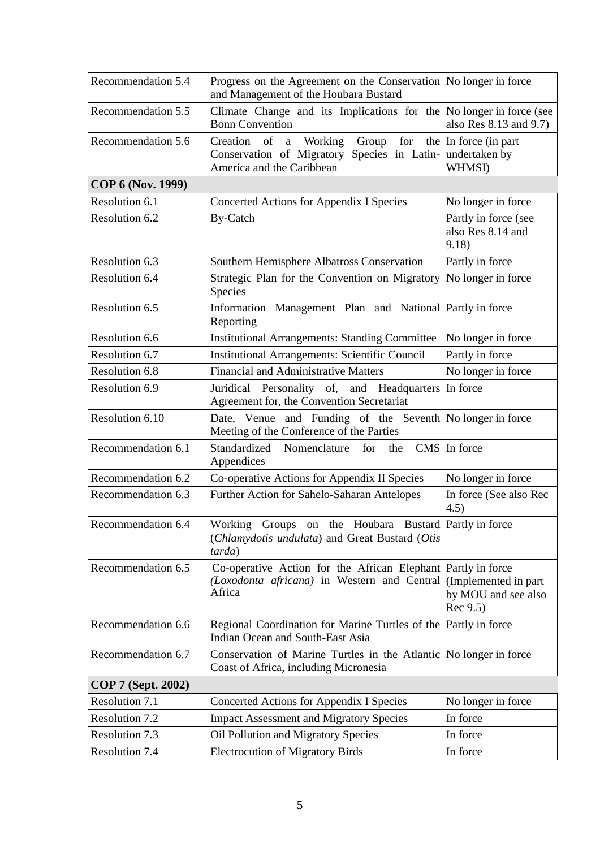| Recommendation 5.4        | Progress on the Agreement on the Conservation No longer in force<br>and Management of the Houbara Bustard                          |                                                          |
|---------------------------|------------------------------------------------------------------------------------------------------------------------------------|----------------------------------------------------------|
| Recommendation 5.5        | Climate Change and its Implications for the $\vert$ No longer in force (see<br><b>Bonn Convention</b>                              | also Res 8.13 and 9.7)                                   |
| Recommendation 5.6        | for<br>Creation of<br>Working<br>Group<br>$\mathbf{a}$<br>Conservation of Migratory Species in Latin-<br>America and the Caribbean | the $\ln$ force (in part<br>undertaken by<br>WHMSI)      |
| COP 6 (Nov. 1999)         |                                                                                                                                    |                                                          |
| Resolution 6.1            | Concerted Actions for Appendix I Species                                                                                           | No longer in force                                       |
| Resolution 6.2            | <b>By-Catch</b>                                                                                                                    | Partly in force (see<br>also Res 8.14 and<br>9.18        |
| Resolution 6.3            | Southern Hemisphere Albatross Conservation                                                                                         | Partly in force                                          |
| Resolution 6.4            | Strategic Plan for the Convention on Migratory<br>Species                                                                          | No longer in force                                       |
| Resolution 6.5            | Information Management Plan and National Partly in force<br>Reporting                                                              |                                                          |
| Resolution 6.6            | <b>Institutional Arrangements: Standing Committee</b>                                                                              | No longer in force                                       |
| Resolution 6.7            | <b>Institutional Arrangements: Scientific Council</b>                                                                              | Partly in force                                          |
| Resolution 6.8            | <b>Financial and Administrative Matters</b>                                                                                        | No longer in force                                       |
| Resolution 6.9            | Personality of, and Headquarters In force<br>Juridical<br>Agreement for, the Convention Secretariat                                |                                                          |
| Resolution 6.10           | Date, Venue and Funding of the Seventh No longer in force<br>Meeting of the Conference of the Parties                              |                                                          |
| Recommendation 6.1        | Standardized<br>Nomenclature<br>for<br>the<br>Appendices                                                                           | CMS   In force                                           |
| Recommendation 6.2        | Co-operative Actions for Appendix II Species                                                                                       | No longer in force                                       |
| Recommendation 6.3        | Further Action for Sahelo-Saharan Antelopes                                                                                        | In force (See also Rec<br>4.5)                           |
| Recommendation 6.4        | Working Groups on the Houbara Bustard Partly in force<br>(Chlamydotis undulata) and Great Bustard (Otis<br>tarda)                  |                                                          |
| Recommendation 6.5        | Co-operative Action for the African Elephant Partly in force<br>(Loxodonta africana) in Western and Central<br>Africa              | (Implemented in part)<br>by MOU and see also<br>Rec 9.5) |
| Recommendation 6.6        | Regional Coordination for Marine Turtles of the Partly in force<br><b>Indian Ocean and South-East Asia</b>                         |                                                          |
| Recommendation 6.7        | Conservation of Marine Turtles in the Atlantic No longer in force<br>Coast of Africa, including Micronesia                         |                                                          |
| <b>COP 7 (Sept. 2002)</b> |                                                                                                                                    |                                                          |
| <b>Resolution 7.1</b>     | Concerted Actions for Appendix I Species                                                                                           | No longer in force                                       |
| <b>Resolution 7.2</b>     | <b>Impact Assessment and Migratory Species</b>                                                                                     | In force                                                 |
| <b>Resolution 7.3</b>     | Oil Pollution and Migratory Species                                                                                                | In force                                                 |
| <b>Resolution 7.4</b>     | <b>Electrocution of Migratory Birds</b>                                                                                            | In force                                                 |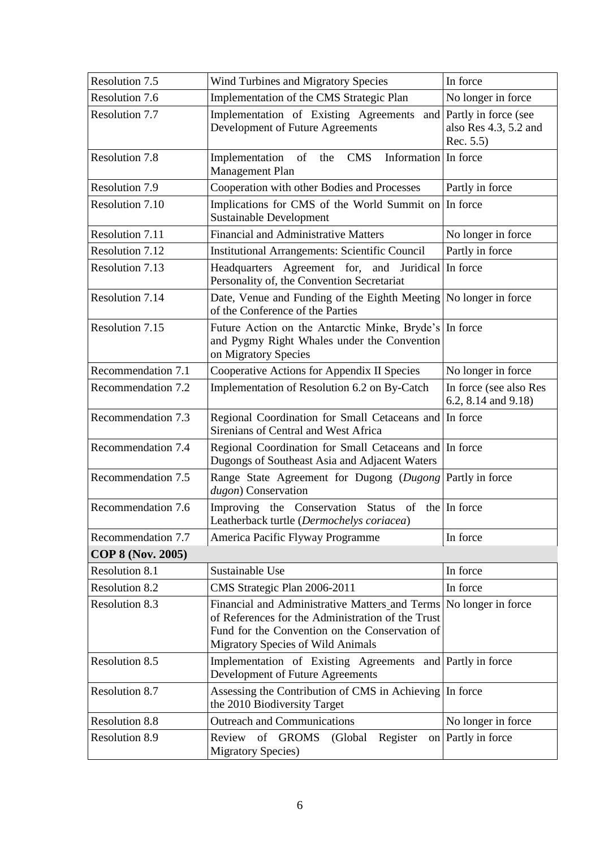| Resolution 7.5           | Wind Turbines and Migratory Species                                                                                                                                                               | In force                                                       |
|--------------------------|---------------------------------------------------------------------------------------------------------------------------------------------------------------------------------------------------|----------------------------------------------------------------|
| Resolution 7.6           | Implementation of the CMS Strategic Plan                                                                                                                                                          | No longer in force                                             |
| Resolution 7.7           | Implementation of Existing Agreements<br>Development of Future Agreements                                                                                                                         | and Partly in force (see<br>also Res 4.3, 5.2 and<br>Rec. 5.5) |
| <b>Resolution 7.8</b>    | Information In force<br>Implementation<br>the<br><b>CMS</b><br>of<br>Management Plan                                                                                                              |                                                                |
| <b>Resolution 7.9</b>    | Cooperation with other Bodies and Processes                                                                                                                                                       | Partly in force                                                |
| Resolution 7.10          | Implications for CMS of the World Summit on<br><b>Sustainable Development</b>                                                                                                                     | In force                                                       |
| Resolution 7.11          | <b>Financial and Administrative Matters</b>                                                                                                                                                       | No longer in force                                             |
| Resolution 7.12          | <b>Institutional Arrangements: Scientific Council</b>                                                                                                                                             | Partly in force                                                |
| Resolution 7.13          | Agreement for, and<br>Juridical<br>Headquarters<br>Personality of, the Convention Secretariat                                                                                                     | In force                                                       |
| Resolution 7.14          | Date, Venue and Funding of the Eighth Meeting No longer in force<br>of the Conference of the Parties                                                                                              |                                                                |
| Resolution 7.15          | Future Action on the Antarctic Minke, Bryde's In force<br>and Pygmy Right Whales under the Convention<br>on Migratory Species                                                                     |                                                                |
| Recommendation 7.1       | Cooperative Actions for Appendix II Species                                                                                                                                                       | No longer in force                                             |
| Recommendation 7.2       | Implementation of Resolution 6.2 on By-Catch                                                                                                                                                      | In force (see also Res<br>6.2, 8.14 and 9.18)                  |
| Recommendation 7.3       | Regional Coordination for Small Cetaceans and<br>Sirenians of Central and West Africa                                                                                                             | In force                                                       |
| Recommendation 7.4       | Regional Coordination for Small Cetaceans and In force<br>Dugongs of Southeast Asia and Adjacent Waters                                                                                           |                                                                |
| Recommendation 7.5       | Range State Agreement for Dugong (Dugong<br>dugon) Conservation                                                                                                                                   | Partly in force                                                |
| Recommendation 7.6       | Improving the Conservation<br>Status of the Inforce<br>Leatherback turtle (Dermochelys coriacea)                                                                                                  |                                                                |
| Recommendation 7.7       | America Pacific Flyway Programme                                                                                                                                                                  | In force                                                       |
| <b>COP 8 (Nov. 2005)</b> |                                                                                                                                                                                                   |                                                                |
| Resolution 8.1           | Sustainable Use                                                                                                                                                                                   | In force                                                       |
| <b>Resolution 8.2</b>    | CMS Strategic Plan 2006-2011                                                                                                                                                                      | In force                                                       |
| Resolution 8.3           | Financial and Administrative Matters and Terms<br>of References for the Administration of the Trust<br>Fund for the Convention on the Conservation of<br><b>Migratory Species of Wild Animals</b> | No longer in force                                             |
| Resolution 8.5           | Implementation of Existing Agreements and Partly in force<br>Development of Future Agreements                                                                                                     |                                                                |
| Resolution 8.7           | Assessing the Contribution of CMS in Achieving In force<br>the 2010 Biodiversity Target                                                                                                           |                                                                |
| <b>Resolution 8.8</b>    | <b>Outreach and Communications</b>                                                                                                                                                                | No longer in force                                             |
| <b>Resolution 8.9</b>    | of GROMS<br>Register<br>Review<br>(Global)<br><b>Migratory Species</b> )                                                                                                                          | on Partly in force                                             |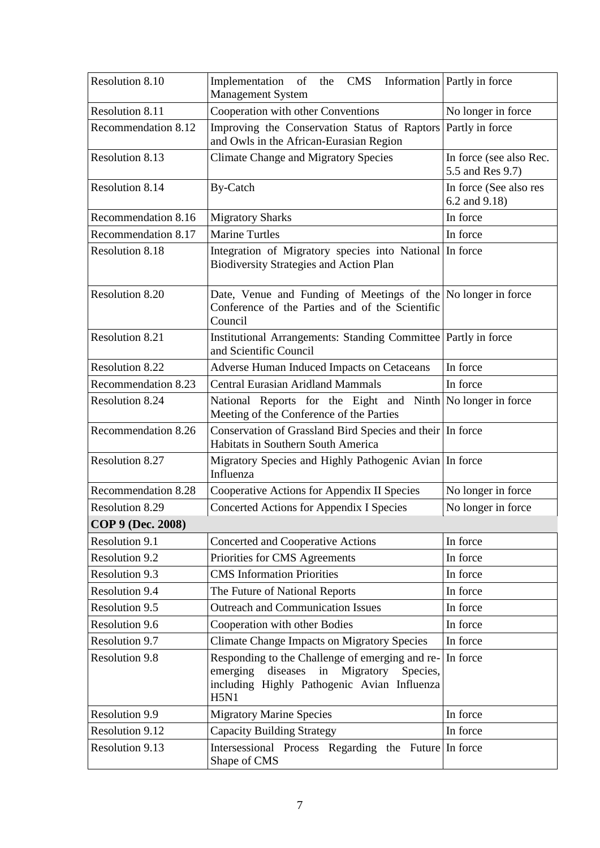| Resolution 8.10       | CMS Information Partly in force<br>Implementation<br>of<br>the<br>Management System                                                                                  |                                             |
|-----------------------|----------------------------------------------------------------------------------------------------------------------------------------------------------------------|---------------------------------------------|
| Resolution 8.11       | Cooperation with other Conventions                                                                                                                                   | No longer in force                          |
| Recommendation 8.12   | Improving the Conservation Status of Raptors Partly in force<br>and Owls in the African-Eurasian Region                                                              |                                             |
| Resolution 8.13       | <b>Climate Change and Migratory Species</b>                                                                                                                          | In force (see also Rec.<br>5.5 and Res 9.7) |
| Resolution 8.14       | <b>By-Catch</b>                                                                                                                                                      | In force (See also res<br>6.2 and 9.18)     |
| Recommendation 8.16   | <b>Migratory Sharks</b>                                                                                                                                              | In force                                    |
| Recommendation 8.17   | <b>Marine Turtles</b>                                                                                                                                                | In force                                    |
| Resolution 8.18       | Integration of Migratory species into National In force<br><b>Biodiversity Strategies and Action Plan</b>                                                            |                                             |
| Resolution 8.20       | Date, Venue and Funding of Meetings of the No longer in force<br>Conference of the Parties and of the Scientific<br>Council                                          |                                             |
| Resolution 8.21       | Institutional Arrangements: Standing Committee Partly in force<br>and Scientific Council                                                                             |                                             |
| Resolution 8.22       | <b>Adverse Human Induced Impacts on Cetaceans</b>                                                                                                                    | In force                                    |
| Recommendation 8.23   | <b>Central Eurasian Aridland Mammals</b>                                                                                                                             | In force                                    |
| Resolution 8.24       | National Reports for the Eight and Ninth No longer in force<br>Meeting of the Conference of the Parties                                                              |                                             |
| Recommendation 8.26   | Conservation of Grassland Bird Species and their In force<br>Habitats in Southern South America                                                                      |                                             |
| Resolution 8.27       | Migratory Species and Highly Pathogenic Avian In force<br>Influenza                                                                                                  |                                             |
| Recommendation 8.28   | Cooperative Actions for Appendix II Species                                                                                                                          | No longer in force                          |
| Resolution 8.29       | Concerted Actions for Appendix I Species                                                                                                                             | No longer in force                          |
| COP 9 (Dec. 2008)     |                                                                                                                                                                      |                                             |
| Resolution 9.1        | <b>Concerted and Cooperative Actions</b>                                                                                                                             | In force                                    |
| <b>Resolution 9.2</b> | Priorities for CMS Agreements                                                                                                                                        | In force                                    |
| <b>Resolution 9.3</b> | <b>CMS</b> Information Priorities                                                                                                                                    | In force                                    |
| <b>Resolution 9.4</b> | The Future of National Reports                                                                                                                                       | In force                                    |
| Resolution 9.5        | <b>Outreach and Communication Issues</b>                                                                                                                             | In force                                    |
| Resolution 9.6        | Cooperation with other Bodies                                                                                                                                        | In force                                    |
| Resolution 9.7        | <b>Climate Change Impacts on Migratory Species</b>                                                                                                                   | In force                                    |
| Resolution 9.8        | Responding to the Challenge of emerging and re-<br>diseases<br>Migratory<br>Species,<br>emerging<br>in<br>including Highly Pathogenic Avian Influenza<br><b>H5N1</b> | In force                                    |
| <b>Resolution 9.9</b> | <b>Migratory Marine Species</b>                                                                                                                                      | In force                                    |
| Resolution 9.12       | <b>Capacity Building Strategy</b>                                                                                                                                    | In force                                    |
| Resolution 9.13       | Intersessional Process Regarding the Future<br>Shape of CMS                                                                                                          | In force                                    |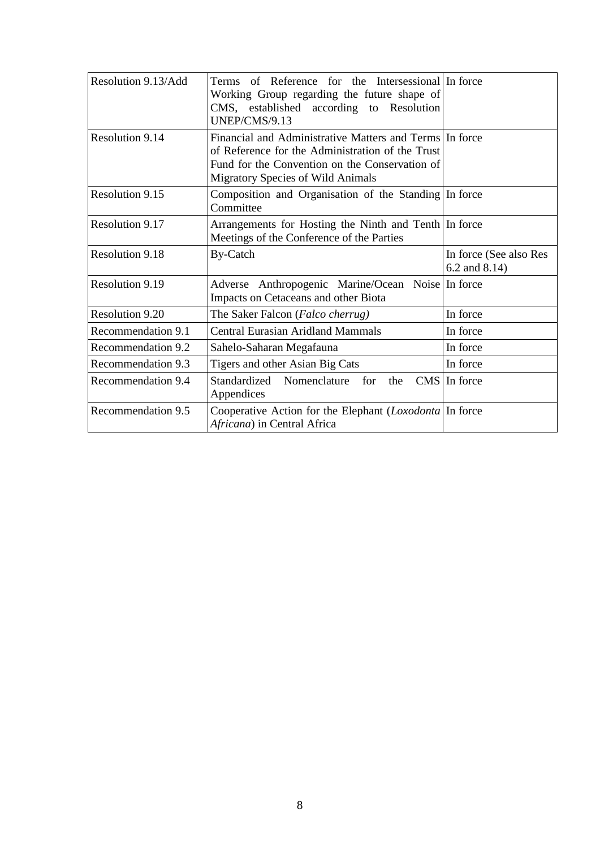| Resolution 9.13/Add | Terms of Reference for the Intersessional Inforce<br>Working Group regarding the future shape of<br>CMS, established according to Resolution<br>UNEP/CMS/9.13                                             |                                              |
|---------------------|-----------------------------------------------------------------------------------------------------------------------------------------------------------------------------------------------------------|----------------------------------------------|
| Resolution 9.14     | Financial and Administrative Matters and Terms In force<br>of Reference for the Administration of the Trust<br>Fund for the Convention on the Conservation of<br><b>Migratory Species of Wild Animals</b> |                                              |
| Resolution 9.15     | Composition and Organisation of the Standing In force<br>Committee                                                                                                                                        |                                              |
| Resolution 9.17     | Arrangements for Hosting the Ninth and Tenth In force<br>Meetings of the Conference of the Parties                                                                                                        |                                              |
| Resolution 9.18     | <b>By-Catch</b>                                                                                                                                                                                           | In force (See also Res<br>$6.2$ and $8.14$ ) |
| Resolution 9.19     | Adverse Anthropogenic Marine/Ocean Noise In force<br>Impacts on Cetaceans and other Biota                                                                                                                 |                                              |
| Resolution 9.20     | The Saker Falcon (Falco cherrug)                                                                                                                                                                          | In force                                     |
| Recommendation 9.1  | <b>Central Eurasian Aridland Mammals</b>                                                                                                                                                                  | In force                                     |
| Recommendation 9.2  | Sahelo-Saharan Megafauna                                                                                                                                                                                  | In force                                     |
| Recommendation 9.3  | Tigers and other Asian Big Cats                                                                                                                                                                           | In force                                     |
| Recommendation 9.4  | Standardized Nomenclature<br>for<br>the<br>Appendices                                                                                                                                                     | CMS In force                                 |
| Recommendation 9.5  | Cooperative Action for the Elephant (Loxodonta In force<br>Africana) in Central Africa                                                                                                                    |                                              |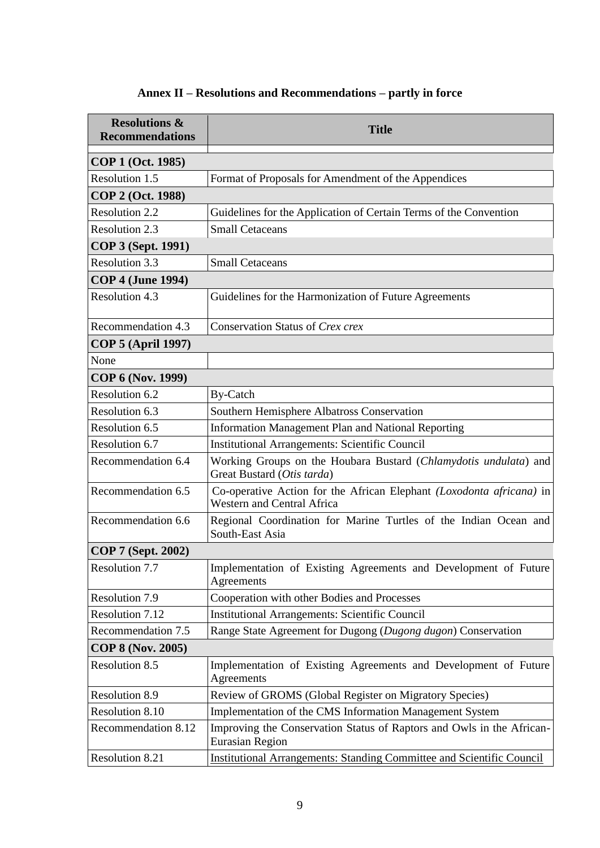| <b>Resolutions &amp;</b><br><b>Recommendations</b> | <b>Title</b>                                                                                              |
|----------------------------------------------------|-----------------------------------------------------------------------------------------------------------|
| COP 1 (Oct. 1985)                                  |                                                                                                           |
| Resolution 1.5                                     | Format of Proposals for Amendment of the Appendices                                                       |
| COP 2 (Oct. 1988)                                  |                                                                                                           |
| Resolution 2.2                                     | Guidelines for the Application of Certain Terms of the Convention                                         |
| Resolution 2.3                                     | <b>Small Cetaceans</b>                                                                                    |
| <b>COP 3 (Sept. 1991)</b>                          |                                                                                                           |
| Resolution 3.3                                     | <b>Small Cetaceans</b>                                                                                    |
| <b>COP 4 (June 1994)</b>                           |                                                                                                           |
| <b>Resolution 4.3</b>                              | Guidelines for the Harmonization of Future Agreements                                                     |
| Recommendation 4.3                                 | Conservation Status of Crex crex                                                                          |
| <b>COP 5 (April 1997)</b>                          |                                                                                                           |
| None                                               |                                                                                                           |
| COP 6 (Nov. 1999)                                  |                                                                                                           |
| Resolution 6.2                                     | <b>By-Catch</b>                                                                                           |
| Resolution 6.3                                     | Southern Hemisphere Albatross Conservation                                                                |
| Resolution 6.5                                     | Information Management Plan and National Reporting                                                        |
| Resolution 6.7                                     | <b>Institutional Arrangements: Scientific Council</b>                                                     |
| Recommendation 6.4                                 | Working Groups on the Houbara Bustard (Chlamydotis undulata) and<br>Great Bustard (Otis tarda)            |
| Recommendation 6.5                                 | Co-operative Action for the African Elephant (Loxodonta africana) in<br><b>Western and Central Africa</b> |
| Recommendation 6.6                                 | Regional Coordination for Marine Turtles of the Indian Ocean and<br>South-East Asia                       |
| <b>COP 7 (Sept. 2002)</b>                          |                                                                                                           |
| <b>Resolution 7.7</b>                              | Implementation of Existing Agreements and Development of Future<br>Agreements                             |
| Resolution 7.9                                     | Cooperation with other Bodies and Processes                                                               |
| Resolution 7.12                                    | <b>Institutional Arrangements: Scientific Council</b>                                                     |
| Recommendation 7.5                                 | Range State Agreement for Dugong (Dugong dugon) Conservation                                              |
| COP 8 (Nov. 2005)                                  |                                                                                                           |
| Resolution 8.5                                     | Implementation of Existing Agreements and Development of Future<br>Agreements                             |
| <b>Resolution 8.9</b>                              | Review of GROMS (Global Register on Migratory Species)                                                    |
| Resolution 8.10                                    | Implementation of the CMS Information Management System                                                   |
| Recommendation 8.12                                | Improving the Conservation Status of Raptors and Owls in the African-<br>Eurasian Region                  |
| Resolution 8.21                                    | <b>Institutional Arrangements: Standing Committee and Scientific Council</b>                              |

# **Annex II – Resolutions and Recommendations – partly in force**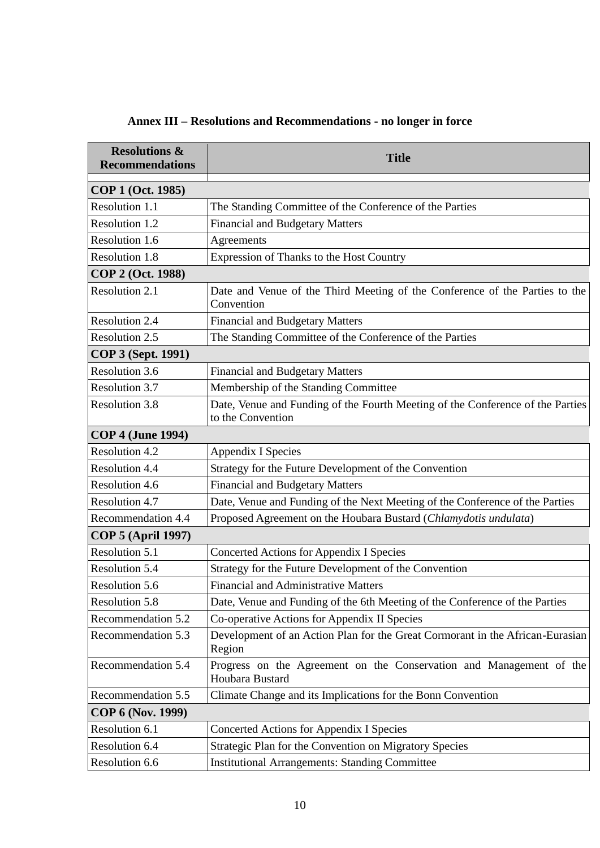| <b>Resolutions &amp;</b><br><b>Recommendations</b> | <b>Title</b>                                                                                        |
|----------------------------------------------------|-----------------------------------------------------------------------------------------------------|
| COP 1 (Oct. 1985)                                  |                                                                                                     |
| Resolution 1.1                                     | The Standing Committee of the Conference of the Parties                                             |
| Resolution 1.2                                     | <b>Financial and Budgetary Matters</b>                                                              |
| Resolution 1.6                                     | Agreements                                                                                          |
| Resolution 1.8                                     | Expression of Thanks to the Host Country                                                            |
| COP 2 (Oct. 1988)                                  |                                                                                                     |
| Resolution 2.1                                     | Date and Venue of the Third Meeting of the Conference of the Parties to the<br>Convention           |
| <b>Resolution 2.4</b>                              | <b>Financial and Budgetary Matters</b>                                                              |
| Resolution 2.5                                     | The Standing Committee of the Conference of the Parties                                             |
| COP 3 (Sept. 1991)                                 |                                                                                                     |
| <b>Resolution 3.6</b>                              | <b>Financial and Budgetary Matters</b>                                                              |
| <b>Resolution 3.7</b>                              | Membership of the Standing Committee                                                                |
| Resolution 3.8                                     | Date, Venue and Funding of the Fourth Meeting of the Conference of the Parties<br>to the Convention |
| COP 4 (June 1994)                                  |                                                                                                     |
| <b>Resolution 4.2</b>                              | Appendix I Species                                                                                  |
| <b>Resolution 4.4</b>                              | Strategy for the Future Development of the Convention                                               |
| <b>Resolution 4.6</b>                              | <b>Financial and Budgetary Matters</b>                                                              |
| <b>Resolution 4.7</b>                              | Date, Venue and Funding of the Next Meeting of the Conference of the Parties                        |
| Recommendation 4.4                                 | Proposed Agreement on the Houbara Bustard (Chlamydotis undulata)                                    |
| <b>COP 5 (April 1997)</b>                          |                                                                                                     |
| Resolution 5.1                                     | Concerted Actions for Appendix I Species                                                            |
| <b>Resolution 5.4</b>                              | Strategy for the Future Development of the Convention                                               |
| Resolution 5.6                                     | <b>Financial and Administrative Matters</b>                                                         |
| Resolution 5.8                                     | Date, Venue and Funding of the 6th Meeting of the Conference of the Parties                         |
| Recommendation 5.2                                 | Co-operative Actions for Appendix II Species                                                        |
| Recommendation 5.3                                 | Development of an Action Plan for the Great Cormorant in the African-Eurasian<br>Region             |
| Recommendation 5.4                                 | Progress on the Agreement on the Conservation and Management of the<br>Houbara Bustard              |
| Recommendation 5.5                                 | Climate Change and its Implications for the Bonn Convention                                         |
| COP 6 (Nov. 1999)                                  |                                                                                                     |
| Resolution 6.1                                     | Concerted Actions for Appendix I Species                                                            |
| Resolution 6.4                                     | Strategic Plan for the Convention on Migratory Species                                              |
| Resolution 6.6                                     | <b>Institutional Arrangements: Standing Committee</b>                                               |

# **Annex III – Resolutions and Recommendations - no longer in force**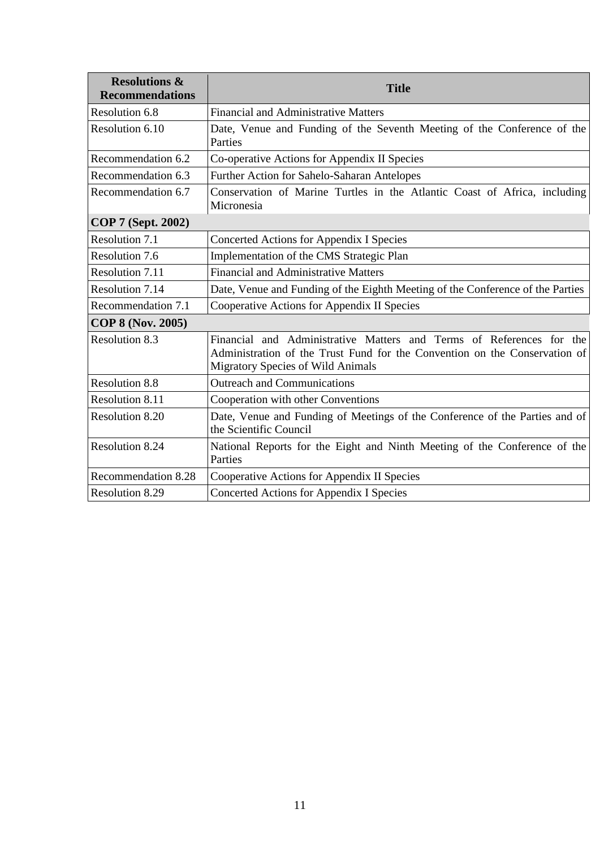| <b>Resolutions &amp;</b><br><b>Recommendations</b> | <b>Title</b>                                                                                                                                                                                   |
|----------------------------------------------------|------------------------------------------------------------------------------------------------------------------------------------------------------------------------------------------------|
| Resolution 6.8                                     | <b>Financial and Administrative Matters</b>                                                                                                                                                    |
| Resolution 6.10                                    | Date, Venue and Funding of the Seventh Meeting of the Conference of the<br>Parties                                                                                                             |
| Recommendation 6.2                                 | Co-operative Actions for Appendix II Species                                                                                                                                                   |
| Recommendation 6.3                                 | Further Action for Sahelo-Saharan Antelopes                                                                                                                                                    |
| Recommendation 6.7                                 | Conservation of Marine Turtles in the Atlantic Coast of Africa, including<br>Micronesia                                                                                                        |
| COP 7 (Sept. 2002)                                 |                                                                                                                                                                                                |
| <b>Resolution 7.1</b>                              | Concerted Actions for Appendix I Species                                                                                                                                                       |
| <b>Resolution 7.6</b>                              | Implementation of the CMS Strategic Plan                                                                                                                                                       |
| <b>Resolution 7.11</b>                             | <b>Financial and Administrative Matters</b>                                                                                                                                                    |
| <b>Resolution 7.14</b>                             | Date, Venue and Funding of the Eighth Meeting of the Conference of the Parties                                                                                                                 |
| Recommendation 7.1                                 | Cooperative Actions for Appendix II Species                                                                                                                                                    |
| <b>COP 8 (Nov. 2005)</b>                           |                                                                                                                                                                                                |
| <b>Resolution 8.3</b>                              | Financial and Administrative Matters and Terms of References for the<br>Administration of the Trust Fund for the Convention on the Conservation of<br><b>Migratory Species of Wild Animals</b> |
| <b>Resolution 8.8</b>                              | <b>Outreach and Communications</b>                                                                                                                                                             |
| Resolution 8.11                                    | Cooperation with other Conventions                                                                                                                                                             |
| Resolution 8.20                                    | Date, Venue and Funding of Meetings of the Conference of the Parties and of<br>the Scientific Council                                                                                          |
| <b>Resolution 8.24</b>                             | National Reports for the Eight and Ninth Meeting of the Conference of the<br>Parties                                                                                                           |
| Recommendation 8.28                                | Cooperative Actions for Appendix II Species                                                                                                                                                    |
| Resolution 8.29                                    | Concerted Actions for Appendix I Species                                                                                                                                                       |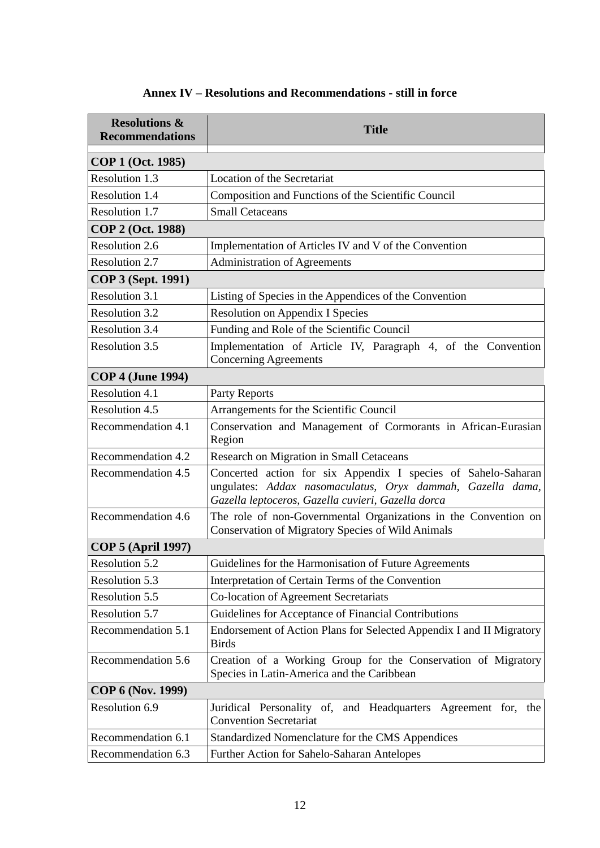| <b>Resolutions &amp;</b><br><b>Recommendations</b> | <b>Title</b>                                                                                                                                                                      |  |
|----------------------------------------------------|-----------------------------------------------------------------------------------------------------------------------------------------------------------------------------------|--|
| COP 1 (Oct. 1985)                                  |                                                                                                                                                                                   |  |
| Resolution 1.3                                     | Location of the Secretariat                                                                                                                                                       |  |
| <b>Resolution 1.4</b>                              | Composition and Functions of the Scientific Council                                                                                                                               |  |
| Resolution 1.7                                     | <b>Small Cetaceans</b>                                                                                                                                                            |  |
| COP 2 (Oct. 1988)                                  |                                                                                                                                                                                   |  |
| <b>Resolution 2.6</b>                              | Implementation of Articles IV and V of the Convention                                                                                                                             |  |
| <b>Resolution 2.7</b>                              | <b>Administration of Agreements</b>                                                                                                                                               |  |
| COP 3 (Sept. 1991)                                 |                                                                                                                                                                                   |  |
| Resolution 3.1                                     | Listing of Species in the Appendices of the Convention                                                                                                                            |  |
| <b>Resolution 3.2</b>                              | <b>Resolution on Appendix I Species</b>                                                                                                                                           |  |
| <b>Resolution 3.4</b>                              | Funding and Role of the Scientific Council                                                                                                                                        |  |
| <b>Resolution 3.5</b>                              | Implementation of Article IV, Paragraph 4, of the Convention<br><b>Concerning Agreements</b>                                                                                      |  |
| COP 4 (June 1994)                                  |                                                                                                                                                                                   |  |
| Resolution 4.1                                     | Party Reports                                                                                                                                                                     |  |
| <b>Resolution 4.5</b>                              | Arrangements for the Scientific Council                                                                                                                                           |  |
| Recommendation 4.1                                 | Conservation and Management of Cormorants in African-Eurasian<br>Region                                                                                                           |  |
| Recommendation 4.2                                 | Research on Migration in Small Cetaceans                                                                                                                                          |  |
| Recommendation 4.5                                 | Concerted action for six Appendix I species of Sahelo-Saharan<br>ungulates: Addax nasomaculatus, Oryx dammah, Gazella dama,<br>Gazella leptoceros, Gazella cuvieri, Gazella dorca |  |
| Recommendation 4.6                                 | The role of non-Governmental Organizations in the Convention on<br><b>Conservation of Migratory Species of Wild Animals</b>                                                       |  |
| COP 5 (April 1997)                                 |                                                                                                                                                                                   |  |
| Resolution 5.2                                     | Guidelines for the Harmonisation of Future Agreements                                                                                                                             |  |
| Resolution 5.3                                     | Interpretation of Certain Terms of the Convention                                                                                                                                 |  |
| <b>Resolution 5.5</b>                              | Co-location of Agreement Secretariats                                                                                                                                             |  |
| <b>Resolution 5.7</b>                              | Guidelines for Acceptance of Financial Contributions                                                                                                                              |  |
| Recommendation 5.1                                 | Endorsement of Action Plans for Selected Appendix I and II Migratory<br><b>Birds</b>                                                                                              |  |
| Recommendation 5.6                                 | Creation of a Working Group for the Conservation of Migratory<br>Species in Latin-America and the Caribbean                                                                       |  |
| COP 6 (Nov. 1999)                                  |                                                                                                                                                                                   |  |
| Resolution 6.9                                     | Juridical Personality of, and Headquarters Agreement for, the<br><b>Convention Secretariat</b>                                                                                    |  |
| Recommendation 6.1                                 | Standardized Nomenclature for the CMS Appendices                                                                                                                                  |  |
| Recommendation 6.3                                 | Further Action for Sahelo-Saharan Antelopes                                                                                                                                       |  |

### **Annex IV – Resolutions and Recommendations - still in force**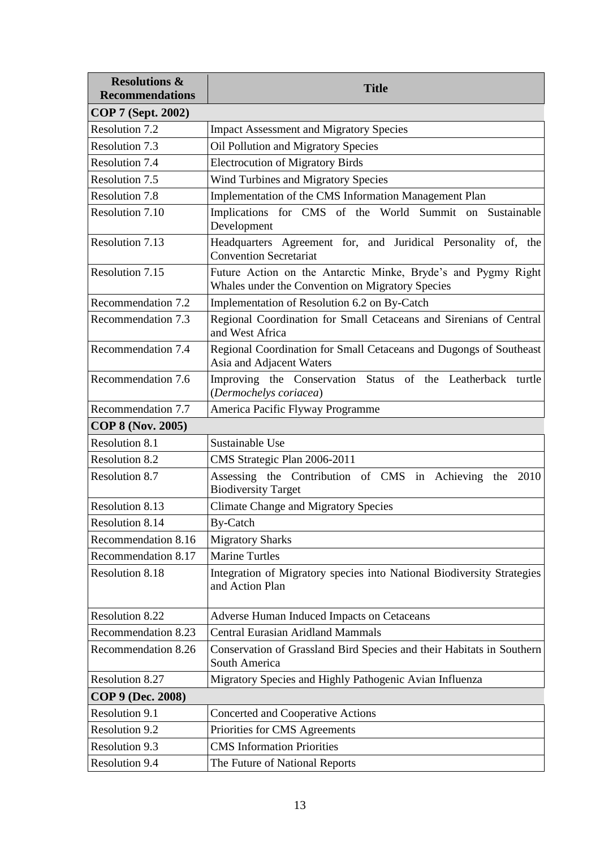| <b>Resolutions &amp;</b><br><b>Recommendations</b> | <b>Title</b>                                                                                                      |  |
|----------------------------------------------------|-------------------------------------------------------------------------------------------------------------------|--|
| COP 7 (Sept. 2002)                                 |                                                                                                                   |  |
| <b>Resolution 7.2</b>                              | <b>Impact Assessment and Migratory Species</b>                                                                    |  |
| Resolution 7.3                                     | <b>Oil Pollution and Migratory Species</b>                                                                        |  |
| <b>Resolution 7.4</b>                              | <b>Electrocution of Migratory Birds</b>                                                                           |  |
| Resolution 7.5                                     | Wind Turbines and Migratory Species                                                                               |  |
| Resolution 7.8                                     | Implementation of the CMS Information Management Plan                                                             |  |
| Resolution 7.10                                    | Implications for CMS of the World Summit on Sustainable<br>Development                                            |  |
| Resolution 7.13                                    | Headquarters Agreement for, and Juridical Personality of, the<br><b>Convention Secretariat</b>                    |  |
| Resolution 7.15                                    | Future Action on the Antarctic Minke, Bryde's and Pygmy Right<br>Whales under the Convention on Migratory Species |  |
| Recommendation 7.2                                 | Implementation of Resolution 6.2 on By-Catch                                                                      |  |
| Recommendation 7.3                                 | Regional Coordination for Small Cetaceans and Sirenians of Central<br>and West Africa                             |  |
| Recommendation 7.4                                 | Regional Coordination for Small Cetaceans and Dugongs of Southeast<br>Asia and Adjacent Waters                    |  |
| Recommendation 7.6                                 | Improving the Conservation Status of the Leatherback turtle<br>(Dermochelys coriacea)                             |  |
| Recommendation 7.7                                 | America Pacific Flyway Programme                                                                                  |  |
| <b>COP 8 (Nov. 2005)</b>                           |                                                                                                                   |  |
| Resolution 8.1                                     | Sustainable Use                                                                                                   |  |
| <b>Resolution 8.2</b>                              | CMS Strategic Plan 2006-2011                                                                                      |  |
| <b>Resolution 8.7</b>                              | Assessing the Contribution of CMS in Achieving the<br>2010<br><b>Biodiversity Target</b>                          |  |
| Resolution 8.13                                    | <b>Climate Change and Migratory Species</b>                                                                       |  |
| Resolution 8.14                                    | <b>By-Catch</b>                                                                                                   |  |
| Recommendation 8.16                                | <b>Migratory Sharks</b>                                                                                           |  |
| Recommendation 8.17                                | <b>Marine Turtles</b>                                                                                             |  |
| Resolution 8.18                                    | Integration of Migratory species into National Biodiversity Strategies<br>and Action Plan                         |  |
| Resolution 8.22                                    | Adverse Human Induced Impacts on Cetaceans                                                                        |  |
| Recommendation 8.23                                | <b>Central Eurasian Aridland Mammals</b>                                                                          |  |
| Recommendation 8.26                                | Conservation of Grassland Bird Species and their Habitats in Southern<br>South America                            |  |
| Resolution 8.27                                    | Migratory Species and Highly Pathogenic Avian Influenza                                                           |  |
| COP 9 (Dec. 2008)                                  |                                                                                                                   |  |
| Resolution 9.1                                     | <b>Concerted and Cooperative Actions</b>                                                                          |  |
| Resolution 9.2                                     | Priorities for CMS Agreements                                                                                     |  |
| Resolution 9.3                                     | <b>CMS</b> Information Priorities                                                                                 |  |
| Resolution 9.4                                     | The Future of National Reports                                                                                    |  |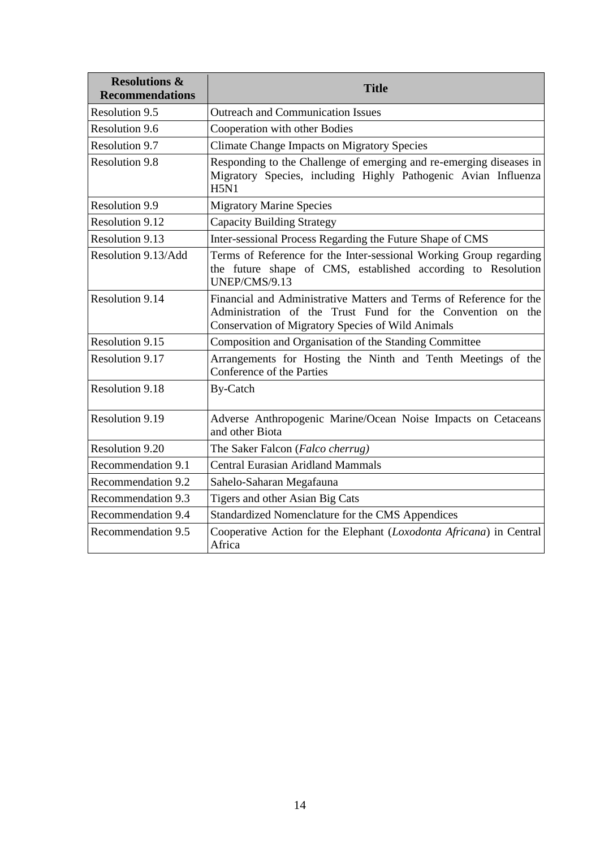| <b>Resolutions &amp;</b><br><b>Recommendations</b> | <b>Title</b>                                                                                                                                                                                  |
|----------------------------------------------------|-----------------------------------------------------------------------------------------------------------------------------------------------------------------------------------------------|
| <b>Resolution 9.5</b>                              | <b>Outreach and Communication Issues</b>                                                                                                                                                      |
| Resolution 9.6                                     | Cooperation with other Bodies                                                                                                                                                                 |
| <b>Resolution 9.7</b>                              | <b>Climate Change Impacts on Migratory Species</b>                                                                                                                                            |
| <b>Resolution 9.8</b>                              | Responding to the Challenge of emerging and re-emerging diseases in<br>Migratory Species, including Highly Pathogenic Avian Influenza<br><b>H5N1</b>                                          |
| <b>Resolution 9.9</b>                              | <b>Migratory Marine Species</b>                                                                                                                                                               |
| Resolution 9.12                                    | <b>Capacity Building Strategy</b>                                                                                                                                                             |
| Resolution 9.13                                    | Inter-sessional Process Regarding the Future Shape of CMS                                                                                                                                     |
| Resolution 9.13/Add                                | Terms of Reference for the Inter-sessional Working Group regarding<br>the future shape of CMS, established according to Resolution<br>UNEP/CMS/9.13                                           |
| Resolution 9.14                                    | Financial and Administrative Matters and Terms of Reference for the<br>Administration of the Trust Fund for the Convention on the<br><b>Conservation of Migratory Species of Wild Animals</b> |
| Resolution 9.15                                    | Composition and Organisation of the Standing Committee                                                                                                                                        |
| Resolution 9.17                                    | Arrangements for Hosting the Ninth and Tenth Meetings of the<br>Conference of the Parties                                                                                                     |
| Resolution 9.18                                    | <b>By-Catch</b>                                                                                                                                                                               |
| Resolution 9.19                                    | Adverse Anthropogenic Marine/Ocean Noise Impacts on Cetaceans<br>and other Biota                                                                                                              |
| Resolution 9.20                                    | The Saker Falcon (Falco cherrug)                                                                                                                                                              |
| Recommendation 9.1                                 | <b>Central Eurasian Aridland Mammals</b>                                                                                                                                                      |
| Recommendation 9.2                                 | Sahelo-Saharan Megafauna                                                                                                                                                                      |
| Recommendation 9.3                                 | Tigers and other Asian Big Cats                                                                                                                                                               |
| Recommendation 9.4                                 | Standardized Nomenclature for the CMS Appendices                                                                                                                                              |
| Recommendation 9.5                                 | Cooperative Action for the Elephant (Loxodonta Africana) in Central<br>Africa                                                                                                                 |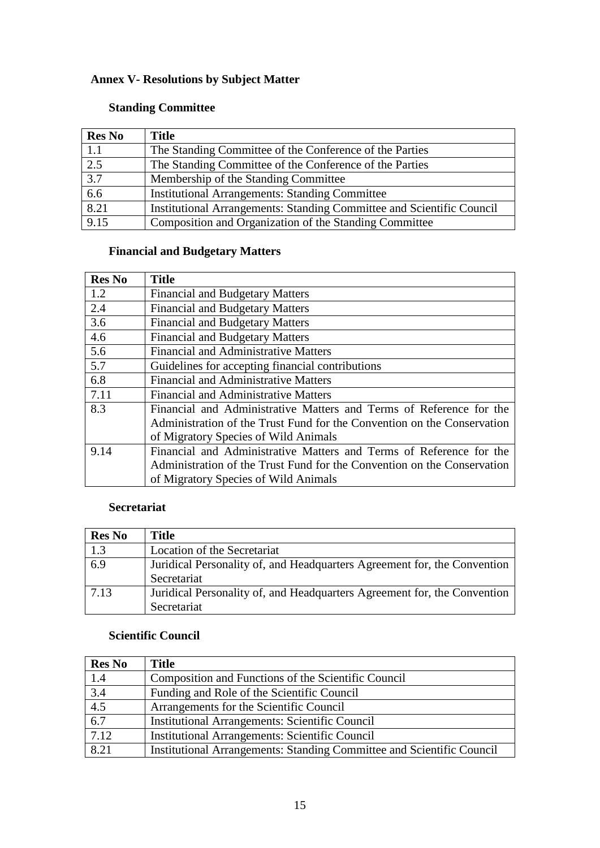# **Annex V- Resolutions by Subject Matter**

# **Standing Committee**

| <b>Res No</b>    | <b>Title</b>                                                          |
|------------------|-----------------------------------------------------------------------|
| 1.1              | The Standing Committee of the Conference of the Parties               |
| 2.5              | The Standing Committee of the Conference of the Parties               |
| $\overline{3.7}$ | Membership of the Standing Committee                                  |
| 6.6              | <b>Institutional Arrangements: Standing Committee</b>                 |
| 8.21             | Institutional Arrangements: Standing Committee and Scientific Council |
| 9.15             | Composition and Organization of the Standing Committee                |

# **Financial and Budgetary Matters**

| <b>Res No</b> | <b>Title</b>                                                            |
|---------------|-------------------------------------------------------------------------|
| 1.2           | <b>Financial and Budgetary Matters</b>                                  |
| 2.4           | <b>Financial and Budgetary Matters</b>                                  |
| 3.6           | <b>Financial and Budgetary Matters</b>                                  |
| 4.6           | <b>Financial and Budgetary Matters</b>                                  |
| 5.6           | <b>Financial and Administrative Matters</b>                             |
| 5.7           | Guidelines for accepting financial contributions                        |
| 6.8           | <b>Financial and Administrative Matters</b>                             |
| 7.11          | <b>Financial and Administrative Matters</b>                             |
| 8.3           | Financial and Administrative Matters and Terms of Reference for the     |
|               | Administration of the Trust Fund for the Convention on the Conservation |
|               | of Migratory Species of Wild Animals                                    |
| 9.14          | Financial and Administrative Matters and Terms of Reference for the     |
|               | Administration of the Trust Fund for the Convention on the Conservation |
|               | of Migratory Species of Wild Animals                                    |

#### **Secretariat**

| <b>Res No</b> | Title                                                                    |
|---------------|--------------------------------------------------------------------------|
| 1.3           | Location of the Secretariat                                              |
| 6.9           | Juridical Personality of, and Headquarters Agreement for, the Convention |
|               | Secretariat                                                              |
| 7.13          | Juridical Personality of, and Headquarters Agreement for, the Convention |
|               | Secretariat                                                              |

#### **Scientific Council**

| <b>Res No</b> | <b>Title</b>                                                          |
|---------------|-----------------------------------------------------------------------|
| 1.4           | Composition and Functions of the Scientific Council                   |
| 3.4           | Funding and Role of the Scientific Council                            |
| 4.5           | Arrangements for the Scientific Council                               |
| 6.7           | <b>Institutional Arrangements: Scientific Council</b>                 |
| 7.12          | <b>Institutional Arrangements: Scientific Council</b>                 |
| 8.21          | Institutional Arrangements: Standing Committee and Scientific Council |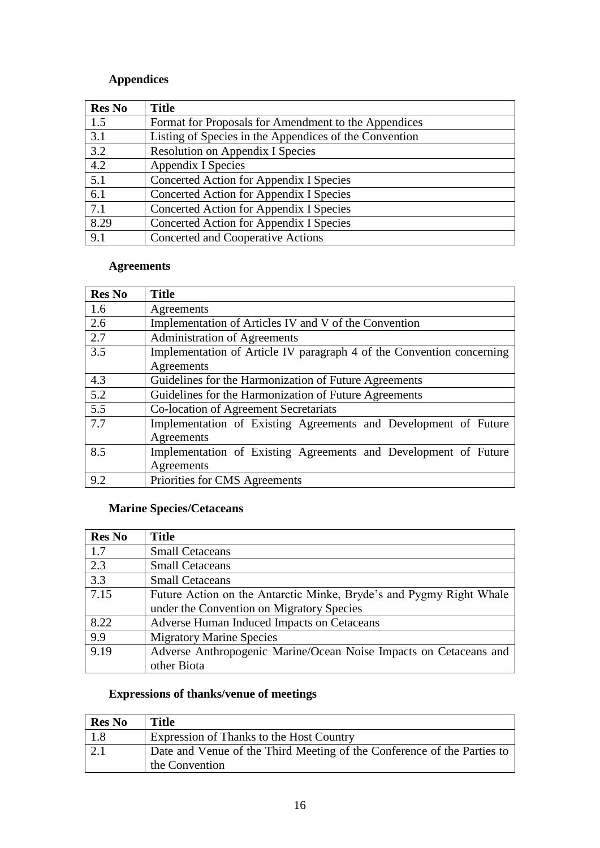# **Appendices**

| <b>Res No</b> | <b>Title</b>                                           |
|---------------|--------------------------------------------------------|
| 1.5           | Format for Proposals for Amendment to the Appendices   |
| 3.1           | Listing of Species in the Appendices of the Convention |
| 3.2           | Resolution on Appendix I Species                       |
| 4.2           | Appendix I Species                                     |
| 5.1           | Concerted Action for Appendix I Species                |
| 6.1           | Concerted Action for Appendix I Species                |
| 7.1           | Concerted Action for Appendix I Species                |
| 8.29          | Concerted Action for Appendix I Species                |
| 9.1           | Concerted and Cooperative Actions                      |

# **Agreements**

| <b>Res No</b>    | <b>Title</b>                                                          |
|------------------|-----------------------------------------------------------------------|
| 1.6              | Agreements                                                            |
| 2.6              | Implementation of Articles IV and V of the Convention                 |
| 2.7              | <b>Administration of Agreements</b>                                   |
| 3.5              | Implementation of Article IV paragraph 4 of the Convention concerning |
|                  | Agreements                                                            |
| 4.3              | Guidelines for the Harmonization of Future Agreements                 |
| 5.2              | Guidelines for the Harmonization of Future Agreements                 |
| $\overline{5.5}$ | Co-location of Agreement Secretariats                                 |
| 7.7              | Implementation of Existing Agreements and Development of Future       |
|                  | Agreements                                                            |
| 8.5              | Implementation of Existing Agreements and Development of Future       |
|                  | Agreements                                                            |
| 9.2              | Priorities for CMS Agreements                                         |

# **Marine Species/Cetaceans**

| <b>Res No</b> | <b>Title</b>                                                        |
|---------------|---------------------------------------------------------------------|
| 1.7           | <b>Small Cetaceans</b>                                              |
| 2.3           | <b>Small Cetaceans</b>                                              |
| 3.3           | <b>Small Cetaceans</b>                                              |
| 7.15          | Future Action on the Antarctic Minke, Bryde's and Pygmy Right Whale |
|               | under the Convention on Migratory Species                           |
| 8.22          | Adverse Human Induced Impacts on Cetaceans                          |
| 9.9           | <b>Migratory Marine Species</b>                                     |
| 9.19          | Adverse Anthropogenic Marine/Ocean Noise Impacts on Cetaceans and   |
|               | other Biota                                                         |

# **Expressions of thanks/venue of meetings**

| <b>Res No</b> | <b>Title</b>                                                            |
|---------------|-------------------------------------------------------------------------|
|               | Expression of Thanks to the Host Country                                |
| 2.1           | Date and Venue of the Third Meeting of the Conference of the Parties to |
|               | the Convention                                                          |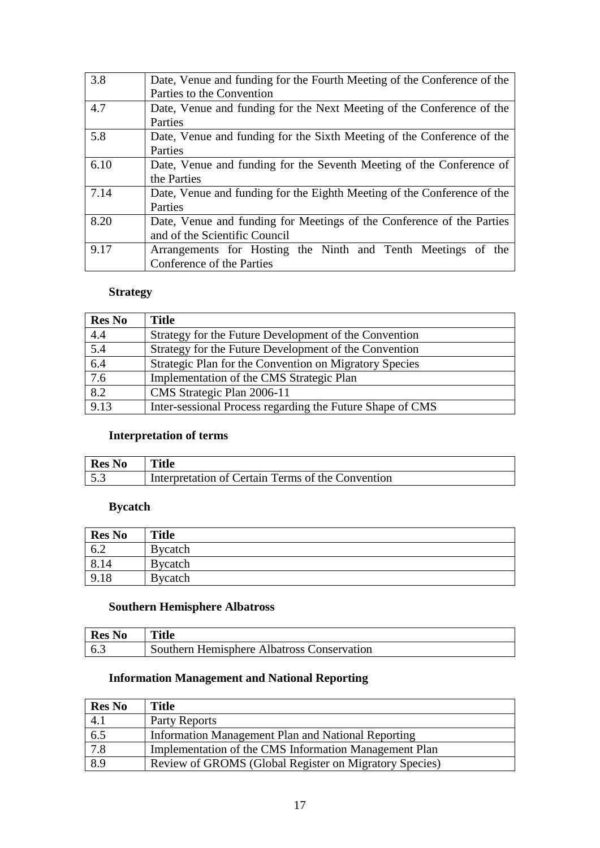| 3.8  | Date, Venue and funding for the Fourth Meeting of the Conference of the |
|------|-------------------------------------------------------------------------|
|      | Parties to the Convention                                               |
| 4.7  | Date, Venue and funding for the Next Meeting of the Conference of the   |
|      | Parties                                                                 |
| 5.8  | Date, Venue and funding for the Sixth Meeting of the Conference of the  |
|      | Parties                                                                 |
| 6.10 | Date, Venue and funding for the Seventh Meeting of the Conference of    |
|      | the Parties                                                             |
| 7.14 | Date, Venue and funding for the Eighth Meeting of the Conference of the |
|      | Parties                                                                 |
| 8.20 | Date, Venue and funding for Meetings of the Conference of the Parties   |
|      | and of the Scientific Council                                           |
| 9.17 | Arrangements for Hosting the Ninth and Tenth Meetings of the            |
|      | Conference of the Parties                                               |

# **Strategy**

| <b>Res No</b>    | <b>Title</b>                                              |
|------------------|-----------------------------------------------------------|
| 4.4              | Strategy for the Future Development of the Convention     |
| $\overline{5.4}$ | Strategy for the Future Development of the Convention     |
| 6.4              | Strategic Plan for the Convention on Migratory Species    |
| 7.6              | Implementation of the CMS Strategic Plan                  |
| 8.2              | CMS Strategic Plan 2006-11                                |
| 9.13             | Inter-sessional Process regarding the Future Shape of CMS |

### **Interpretation of terms**

| Res No            | <b>Title</b>                                      |
|-------------------|---------------------------------------------------|
| $\vert 5.3 \vert$ | Interpretation of Certain Terms of the Convention |

# **Bycatch**

| <b>Res No</b> | <b>Title</b>    |
|---------------|-----------------|
| 6.2           | Bycatch         |
| 8.14          | <b>Bycatch</b>  |
| 9.18          | <b>B</b> ycatch |

# **Southern Hemisphere Albatross**

| <b>Res</b> No | <b>Title</b>                               |
|---------------|--------------------------------------------|
| 6.5           | Southern Hemisphere Albatross Conservation |

### **Information Management and National Reporting**

| <b>Res</b> No | <b>Title</b>                                           |
|---------------|--------------------------------------------------------|
| 4.1           | Party Reports                                          |
| 6.5           | Information Management Plan and National Reporting     |
| 7.8           | Implementation of the CMS Information Management Plan  |
| 8.9           | Review of GROMS (Global Register on Migratory Species) |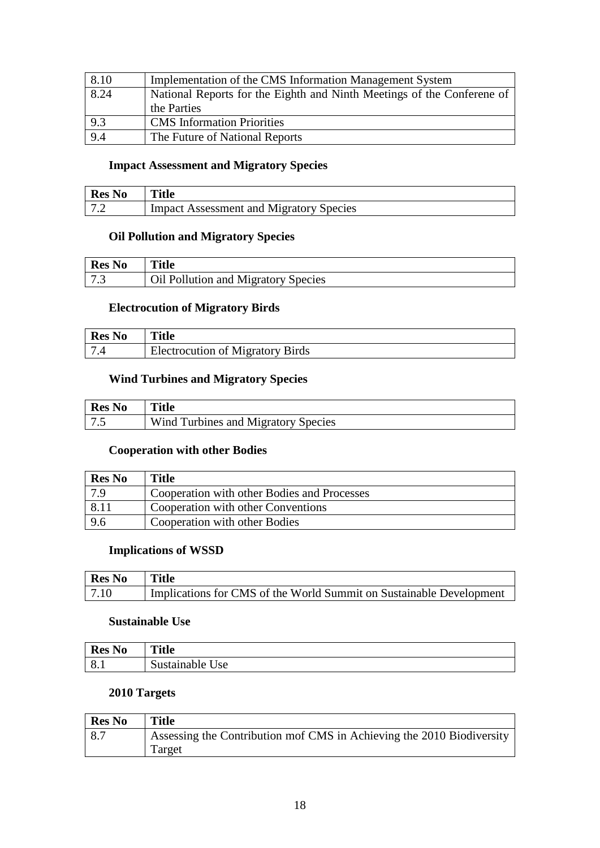| 8.10 | Implementation of the CMS Information Management System                 |
|------|-------------------------------------------------------------------------|
| 8.24 | National Reports for the Eighth and Ninth Meetings of the Conference of |
|      | the Parties                                                             |
| 9.3  | <b>CMS</b> Information Priorities                                       |
| 9.4  | The Future of National Reports                                          |

### **Impact Assessment and Migratory Species**

| <b>Res</b> No | <b>Title</b>                                   |
|---------------|------------------------------------------------|
|               | <b>Impact Assessment and Migratory Species</b> |

#### **Oil Pollution and Migratory Species**

| Res No       | <b>Title</b>                        |
|--------------|-------------------------------------|
| $17^{\circ}$ | Oil Pollution and Migratory Species |

### **Electrocution of Migratory Birds**

| <b>Res</b> No | <b>Title</b>                            |
|---------------|-----------------------------------------|
|               | <b>Electrocution of Migratory Birds</b> |

#### **Wind Turbines and Migratory Species**

| Res No | <b>Title</b>                        |
|--------|-------------------------------------|
|        | Wind Turbines and Migratory Species |

#### **Cooperation with other Bodies**

| <b>Res</b> No | Title                                       |
|---------------|---------------------------------------------|
| ∣ 7.9         | Cooperation with other Bodies and Processes |
| 8.1           | Cooperation with other Conventions          |
| 9.6           | Cooperation with other Bodies               |

### **Implications of WSSD**

| Res No             | <b>Title</b>                                                        |
|--------------------|---------------------------------------------------------------------|
| $\vert 7.10 \vert$ | Implications for CMS of the World Summit on Sustainable Development |

#### **Sustainable Use**

| <b>Res No</b> | <b>Title</b>      |
|---------------|-------------------|
| 0.1           | sustamable<br>Use |

### **2010 Targets**

| <b>Res No</b> | <b>Title</b>                                                          |
|---------------|-----------------------------------------------------------------------|
| 8.7           | Assessing the Contribution mof CMS in Achieving the 2010 Biodiversity |
|               | Target                                                                |